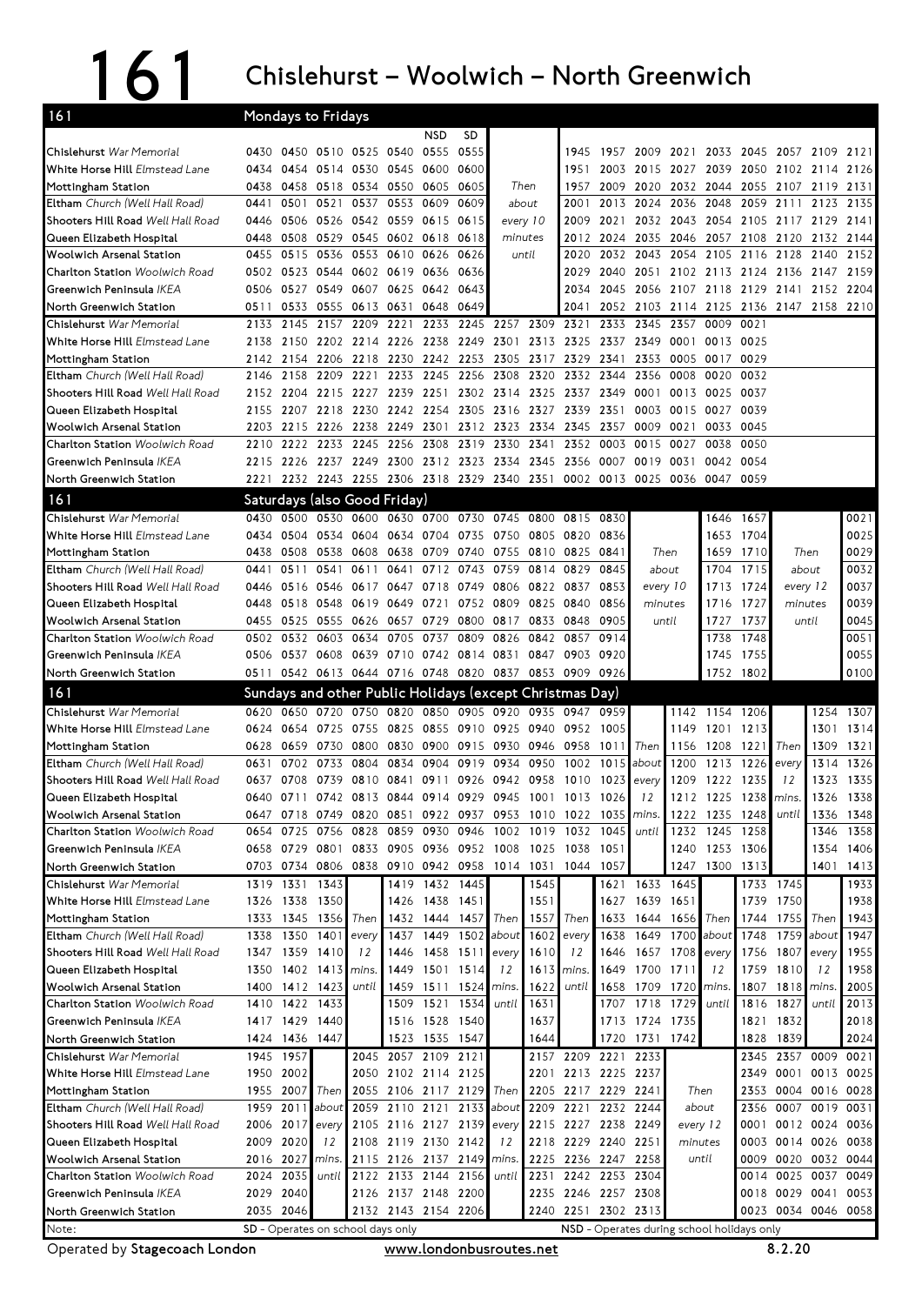## 161

## – Woolwich – North Greenwich

| 161                                                  |              | Mondays to Fridays |                                                                                           |                |                |                                                      |                          |                                                        |      |                     |                |                |                 |                                    |                     |                     |                |                              |
|------------------------------------------------------|--------------|--------------------|-------------------------------------------------------------------------------------------|----------------|----------------|------------------------------------------------------|--------------------------|--------------------------------------------------------|------|---------------------|----------------|----------------|-----------------|------------------------------------|---------------------|---------------------|----------------|------------------------------|
|                                                      |              |                    |                                                                                           |                |                | <b>NSD</b>                                           | SD                       |                                                        |      |                     |                |                |                 |                                    |                     |                     |                |                              |
| Chislehurst War Memorial                             | 0430         |                    | 0450 0510 0525 0540 0555                                                                  |                |                |                                                      | 0555                     |                                                        |      | 1945                | 1957           | 2009           | 2021            |                                    | 2033 2045           | 2057 2109           |                | 2121                         |
| White Horse Hill Elmstead Lane                       | 0434         |                    | 0454 0514 0530 0545 0600                                                                  |                |                |                                                      | 0600                     |                                                        |      | 1951                | 2003           | 2015           |                 | 2027 2039 2050 2102 2114           |                     |                     |                | 2126                         |
| Mottingham Station                                   | 0438         | 0458               | 0518                                                                                      |                | 0534 0550 0605 |                                                      | 0605                     | Then                                                   |      | 1957                | 2009           | 2020           | 2032            |                                    | 2044 2055 2107 2119 |                     |                | 2131                         |
| Eltham Church (Well Hall Road)                       | 0441         | 0501               | 0521<br>0506 0526 0542 0559 0615                                                          | 0537           | 0553           | 0609                                                 | 0609                     | about                                                  |      | 2001                |                | 2013 2024      | 2036            | 2048                               | 2059 2111           |                     | 2123           | 2135                         |
| Shooters Hill Road Well Hall Road                    | 0446         |                    |                                                                                           |                |                |                                                      | 0615                     | every 10                                               |      | 2009                |                | 2024 2035      |                 | 2021 2032 2043 2054 2105 2117 2129 |                     |                     |                | 2141                         |
| Queen Elizabeth Hospital<br>Woolwich Arsenal Station | 0448<br>0455 | 0508<br>0515 0536  | 0529                                                                                      |                | 0553 0610 0626 | 0545 0602 0618 0618                                  | 0626                     | minutes<br>until                                       |      | 2012<br>2020        |                | 2032 2043      | 2046<br>2054    | 2057 2108 2120<br>2105             | 2116 2128           |                     | 2132<br>2140   | 2144<br>2152                 |
| Charlton Station Woolwich Road                       |              |                    | 0502 0523 0544                                                                            |                | 0602 0619 0636 |                                                      | 0636                     |                                                        |      | 2029                | 2040           | 2051           |                 | 2102 2113 2124 2136                |                     |                     | 2147           | 2159                         |
| Greenwich Peninsula IKEA                             | 0506         |                    | 0527 0549 0607 0625 0642                                                                  |                |                |                                                      | 0643                     |                                                        |      | 2034                | 2045           | 2056           | 2107 2118       |                                    | 2129 2141           |                     | 2152           | 2204                         |
| North Greenwich Station                              | 0511         | 0533               |                                                                                           | 0555 0613 0631 |                | 0648 0649                                            |                          |                                                        |      | 2041                |                | 2052 2103      | 2114 2125       |                                    | 2136 2147 2158 2210 |                     |                |                              |
| Chislehurst War Memorial                             | 2133         | 2145               | 2157 2209                                                                                 |                | 2221           |                                                      | 2233 2245 2257 2309 2321 |                                                        |      |                     |                | 2333 2345      | 2357            | 0009                               | 0021                |                     |                |                              |
| White Horse Hill Elmstead Lane                       | 2138         |                    | 2150 2202 2214 2226 2238 2249                                                             |                |                |                                                      |                          | 2301 2313 2325 2337 2349                               |      |                     |                |                | 0001            | 0013 0025                          |                     |                     |                |                              |
| Mottingham Station                                   | 2142         |                    | 2154 2206 2218 2230 2242 2253 2305 2317 2329                                              |                |                |                                                      |                          |                                                        |      |                     | 2341 2353      |                | 0005            | 0017                               | 0029                |                     |                |                              |
| Eltham Church (Well Hall Road)                       | 2146         | 2158               | 2209 2221                                                                                 |                |                | 2233 2245 2256                                       |                          | 2308 2320                                              |      |                     | 2332 2344 2356 |                | 0008            | 0020                               | 0032                |                     |                |                              |
| Shooters Hill Road Well Hall Road                    |              |                    | 2152 2204 2215 2227                                                                       |                |                | 2239 2251                                            |                          | 2302 2314 2325 2337 2349                               |      |                     |                | 0001           | 0013            | 0025                               | 0037                |                     |                |                              |
| Queen Elizabeth Hospital                             | 2155         |                    | 2207 2218 2230 2242 2254 2305                                                             |                |                |                                                      |                          | 2316 2327 2339 2351                                    |      |                     |                | 0003           | 0015            | 0027                               | 0039                |                     |                |                              |
| <b>Woolwich Arsenal Station</b>                      |              |                    | 2203 2215 2226 2238 2249 2301 2312 2323 2334 2345 2357 0009 0021                          |                |                |                                                      |                          |                                                        |      |                     |                |                |                 | 0033                               | 0045                |                     |                |                              |
| Charlton Station Woolwich Road                       | 2210         |                    | 2222 2233 2245                                                                            |                | 2256 2308      |                                                      | 2319                     | 2330 2341                                              |      | 2352 0003           |                | 0015           | 0027            | 0038                               | 0050                |                     |                |                              |
| Greenwich Peninsula IKEA                             | 2215         |                    | 2226 2237 2249 2300 2312 2323 2334 2345 2356                                              |                |                |                                                      |                          |                                                        |      |                     | 0007           | 0019           | 0031            | 0042                               | 0054                |                     |                |                              |
| North Greenwich Station                              | 2221         |                    | 2232 2243 2255 2306 2318 2329 2340 2351 0002 0013 0025 0036 0047 0059                     |                |                |                                                      |                          |                                                        |      |                     |                |                |                 |                                    |                     |                     |                |                              |
| 161                                                  |              |                    | Saturdays (also Good Friday)                                                              |                |                |                                                      |                          |                                                        |      |                     |                |                |                 |                                    |                     |                     |                |                              |
| Chislehurst War Memorial                             | 0430         | 0500               | 0530                                                                                      |                |                | 0600 0630 0700 0730                                  |                          | 0745                                                   | 0800 |                     | 0815 0830      |                |                 | 1646                               | 1657                |                     |                | 0021                         |
| White Horse Hill Elmstead Lane                       | 0434         | 0504               | 0534                                                                                      | 0604           |                | 0634 0704                                            | 0735                     | 0750 0805                                              |      | 0820                | 0836           |                |                 | 1653                               | 1704                |                     |                | 0025                         |
| Mottingham Station                                   | 0438         | 0508 0538          |                                                                                           | 0608           |                | 0638 0709 0740 0755 0810 0825                        |                          |                                                        |      |                     | 0841           |                | Then            | 1659                               | 1710                |                     | Then           | 0029                         |
| Eltham Church (Well Hall Road)                       | 0441         | 0511               | 0541                                                                                      | 0611           | 0641           | 0712                                                 | 0743                     | 0759                                                   | 0814 | 0829                | 0845           | about          |                 | 1704                               | 1715                |                     | about          | 0032                         |
| Shooters Hill Road Well Hall Road                    | 0446         |                    | 0516 0546 0617 0647 0718 0749                                                             |                |                |                                                      |                          | 0806 0822 0837                                         |      |                     | 0853           |                | every 10        | 1713                               | 1724                |                     | every 12       | 0037                         |
| Queen Elizabeth Hospital                             | 0448         | 0518 0548          |                                                                                           |                |                | 0619 0649 0721 0752 0809 0825 0840                   |                          |                                                        |      |                     | 0856           | minutes        |                 | 1716                               | 1727                | minutes             |                | 0039                         |
| Woolwich Arsenal Station                             | 0455         |                    | 0525 0555 0626 0657 0729 0800 0817 0833                                                   |                |                |                                                      |                          |                                                        |      | 0848                | 0905           |                | until           | 1727                               | 1737                |                     | until          | 0045                         |
| Charlton Station Woolwich Road                       | 0502         | 0532               | 0603                                                                                      | 0634           |                | 0705 0737                                            | 0809                     | 0826                                                   | 0842 | 0857                | 0914           |                |                 | 1738                               | 1748                |                     |                | 0051                         |
| Greenwich Peninsula IKEA                             |              |                    | 0506 0537 0608 0639 0710 0742 0814 0831 0847                                              |                |                |                                                      |                          |                                                        |      | 0903 0920           |                |                |                 | 1745                               | 1755                |                     |                | 0055                         |
|                                                      |              |                    |                                                                                           |                |                |                                                      |                          |                                                        |      |                     |                |                |                 |                                    |                     |                     |                | 0100                         |
|                                                      |              |                    |                                                                                           |                |                |                                                      |                          |                                                        |      |                     |                |                |                 |                                    |                     |                     |                |                              |
| North Greenwich Station                              |              |                    |                                                                                           |                |                |                                                      |                          | 0511 0542 0613 0644 0716 0748 0820 0837 0853 0909 0926 |      |                     |                |                |                 |                                    | 1752 1802           |                     |                |                              |
| 161                                                  | 0620         | 0650               | Sundays and other Public Holidays (except Christmas Day)<br>0720 0750 0820 0850 0905 0920 |                |                |                                                      |                          |                                                        |      | 0935 0947           | 0959           |                |                 |                                    |                     |                     |                |                              |
| Chislehurst War Memorial                             |              | 0624 0654 0725     |                                                                                           | 0755           |                |                                                      |                          |                                                        |      |                     | 1005           |                | 1149            | 1142 1154 1206                     | 1213                |                     | 1301           | 1254 1307                    |
| White Horse Hill Elmstead Lane                       | 0628         | 0659               | 0730                                                                                      |                |                | 0825 0855 0910 0925 0940 0952<br>0800 0830 0900 0915 |                          | 0930 0946 0958                                         |      |                     | 1011           | Then           | 1156            | 1201<br>1208                       | 1221                | Then                | 1309           | 1314<br>1321                 |
| Mottingham Station<br>Eltham Church (Well Hall Road) | 0631         | 0702               | 0733                                                                                      | 0804           | 0834           | 0904                                                 | 0919                     | 0934                                                   | 0950 | 1002                | 1015           | about          | 1200            | 1213                               | 1226                | every               | 1314           | 1326                         |
| Shooters Hill Road Well Hall Road                    |              |                    | 0637 0708 0739 0810 0841 0911 0926 0942 0958                                              |                |                |                                                      |                          |                                                        |      | 1010 1023 every     |                |                | 1209            | 1222 1235                          |                     | 12                  |                | 1323 1335                    |
| Queen Elizabeth Hospital                             |              |                    | 0640 0711 0742 0813 0844 0914 0929 0945 1001 1013 1026                                    |                |                |                                                      |                          |                                                        |      |                     |                | 12             |                 | 1212 1225 1238 mins.               |                     |                     |                | 1326 1338                    |
| Woolwich Arsenal Station                             |              |                    | 0647 0718 0749 0820 0851 0922 0937 0953 1010 1022 1035 mins.                              |                |                |                                                      |                          |                                                        |      |                     |                |                |                 | 1222 1235 1248 until               |                     |                     |                | 1336 1348                    |
| Charlton Station Woolwich Road                       |              | 0654 0725          | 0756                                                                                      | 0828           | 0859           | 0930                                                 | 0946                     | 1002                                                   | 1019 | 1032                | 1045           | until          |                 | 1232 1245                          | 1258                |                     | 1346           | 1358                         |
| Greenwich Peninsula IKEA                             |              |                    | 0658 0729 0801 0833                                                                       |                |                | 0905 0936 0952 1008 1025                             |                          |                                                        |      | 1038                | 1051           |                |                 | 1240 1253 1306                     |                     |                     |                | 1354 1406                    |
| North Greenwich Station                              |              |                    | 0703 0734 0806 0838                                                                       |                |                | 0910 0942 0958                                       |                          | 1014 1031                                              |      | 1044                | 1057           |                |                 | 1247 1300                          | 1313                |                     | 1401           | 1413                         |
| Chislehurst War Memorial                             |              | 1319 1331          | 1343                                                                                      |                |                | 1419 1432 1445                                       |                          |                                                        | 1545 |                     |                | 1621 1633 1645 |                 |                                    |                     | 1733 1745           |                | 1933                         |
| White Horse Hill Elmstead Lane                       |              | 1326 1338          | 1350                                                                                      |                |                | 1426 1438 1451                                       |                          |                                                        | 1551 |                     |                | 1627 1639 1651 |                 |                                    | 1739                | 1750                |                | 1938                         |
| Mottingham Station                                   |              | 1333 1345 1356     |                                                                                           | Then           |                | 1432 1444 1457                                       |                          | Then                                                   | 1557 | Then                |                | 1633 1644 1656 |                 | Then                               | 1744                | 1755 Then           |                | 1943                         |
| Eltham Church (Well Hall Road)                       |              | 1338 1350          | 1401                                                                                      | every          |                | 1437 1449 1502                                       |                          | about                                                  | 1602 | every               | 1638           |                | 1649 1700 about |                                    | 1748                | 1759 about          |                | 1947                         |
| Shooters Hill Road Well Hall Road                    |              | 1347 1359          | 1410                                                                                      | 12             | 1446           | 1458 1511                                            |                          | every                                                  | 1610 | 12                  | 1646           | 1657           | 1708            | every                              | 1756                | 1807 every          |                | 1955                         |
| Queen Elizabeth Hospital                             |              | 1350 1402 1413     |                                                                                           | mins.          | 1449           | 1501 1514                                            |                          | 12                                                     | 1613 | mins.               | 1649           | 1700           | 1711            | 12                                 | 1759                | 1810                | 12             | 1958                         |
| Woolwich Arsenal Station                             |              | 1400 1412 1423     |                                                                                           | until          |                | 1459 1511 1524                                       |                          | mins.                                                  | 1622 | until               | 1658           | 1709           | 1720            | mins.                              | 1807                | 1818 mins.          |                | 2005                         |
| Charlton Station Woolwich Road                       |              | 1410 1422          | 1433                                                                                      |                |                | 1509 1521                                            | 1534                     | until                                                  | 1631 |                     | 1707           | 1718           | 1729            | until                              | 1816                | 1827                | until          | 2013                         |
| Greenwich Peninsula IKEA                             |              | 1417 1429 1440     |                                                                                           |                |                | 1516 1528 1540                                       |                          |                                                        | 1637 |                     |                | 1713 1724 1735 |                 |                                    |                     | 1821 1832           |                | 2018                         |
| North Greenwich Station                              |              | 1424 1436 1447     |                                                                                           |                |                | 1523 1535 1547                                       |                          |                                                        | 1644 |                     |                | 1720 1731 1742 |                 |                                    | 1828                | 1839                |                | 2024                         |
| Chislehurst War Memorial                             |              | 1945 1957          |                                                                                           | 2045           |                | 2057 2109 2121                                       |                          |                                                        |      | 2157 2209 2221 2233 |                |                |                 |                                    | 2345                |                     | 2357 0009 0021 |                              |
| White Horse Hill Elmstead Lane                       |              | 1950 2002          |                                                                                           | 2050           |                | 2102 2114 2125                                       |                          |                                                        | 2201 | 2213 2225 2237      |                |                |                 |                                    | 2349                |                     | 0001 0013      |                              |
| Mottingham Station                                   |              | 1955 2007 Then     |                                                                                           | 2055           |                | 2106 2117 2129                                       |                          | Then <b>I</b>                                          |      | 2205 2217 2229 2241 |                |                |                 | Then                               | 2353                |                     | 0004 0016 0028 |                              |
| Eltham Church (Well Hall Road)                       | 1959         | 2011 about         |                                                                                           | 2059           |                | 2110 2121                                            | 2133                     | about                                                  | 2209 |                     | 2221 2232 2244 |                |                 | about                              | 2356                |                     | 0007 0019      |                              |
| Shooters Hill Road Well Hall Road                    |              | 2006 2017          | every                                                                                     |                |                | 2105 2116 2127 2139                                  |                          | every                                                  | 2215 | 2227 2238 2249      |                |                |                 | every 12                           | 0001                |                     | 0012 0024 0036 |                              |
| Queen Elizabeth Hospital                             |              | 2009 2020          | 12                                                                                        |                |                | 2108 2119 2130 2142                                  |                          | 12                                                     | 2218 | 2229 2240 2251      |                |                |                 | minutes                            |                     | 0003 0014 0026 0038 |                |                              |
| Woolwich Arsenal Station                             |              | 2016 2027          | mins.                                                                                     |                |                | 2115 2126 2137 2149                                  |                          | mins.                                                  | 2225 |                     | 2236 2247 2258 |                |                 | until                              |                     | 0009 0020 0032 0044 |                |                              |
| Charlton Station Woolwich Road                       | 2024         | 2035               | until                                                                                     | 2122           |                | 2133 2144 2156                                       |                          | until                                                  | 2231 |                     | 2242 2253 2304 |                |                 |                                    | 0014                |                     | 0025 0037      |                              |
| Greenwich Peninsula IKEA                             |              | 2029 2040          |                                                                                           |                |                | 2126 2137 2148 2200                                  |                          |                                                        |      | 2235 2246 2257 2308 |                |                |                 |                                    |                     | 0018 0029 0041      |                |                              |
| North Greenwich Station                              |              | 2035 2046          |                                                                                           |                |                | 2132 2143 2154 2206                                  |                          |                                                        |      | 2240 2251 2302 2313 |                |                |                 |                                    |                     | 0023 0034 0046 0058 |                | 0025<br>0031<br>0049<br>0053 |

Operated by Stagecoach London

www.londonbusroutes.net 8.2.20